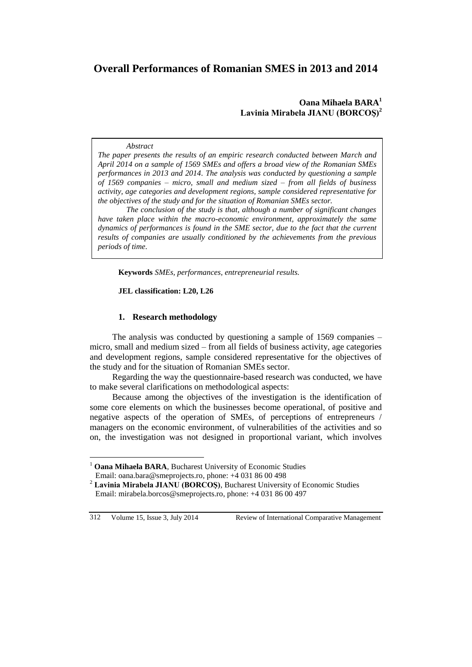# **Overall Performances of Romanian SMES in 2013 and 2014**

## **Oana Mihaela BARA<sup>1</sup> Lavinia Mirabela JIANU (BORCOŞ)<sup>2</sup>**

#### *Abstract*

*The paper presents the results of an empiric research conducted between March and April 2014 on a sample of 1569 SMEs and offers a broad view of the Romanian SMEs performances in 2013 and 2014. The analysis was conducted by questioning a sample of 1569 companies – micro, small and medium sized – from all fields of business activity, age categories and development regions, sample considered representative for the objectives of the study and for the situation of Romanian SMEs sector.*

*The conclusion of the study is that, although a number of significant changes have taken place within the macro-economic environment, approximately the same dynamics of performances is found in the SME sector, due to the fact that the current results of companies are usually conditioned by the achievements from the previous periods of time.*

**Keywords** *SMEs, performances, entrepreneurial results.*

#### **JEL classification: L20, L26**

### **1. Research methodology**

The analysis was conducted by questioning a sample of 1569 companies – micro, small and medium sized – from all fields of business activity, age categories and development regions, sample considered representative for the objectives of the study and for the situation of Romanian SMEs sector.

Regarding the way the questionnaire-based research was conducted, we have to make several clarifications on methodological aspects:

Because among the objectives of the investigation is the identification of some core elements on which the businesses become operational, of positive and negative aspects of the operation of SMEs, of perceptions of entrepreneurs / managers on the economic environment, of vulnerabilities of the activities and so on, the investigation was not designed in proportional variant, which involves

 $\overline{a}$ 

<sup>1</sup> **Oana Mihaela BARA**, Bucharest University of Economic Studies Email[: oana.bara@smeprojects.ro,](mailto:oana.bara@smeprojects.ro) phone: +4 031 86 00 498

<sup>&</sup>lt;sup>2</sup> Lavinia Mirabela JIANU (BORCOS), Bucharest University of Economic Studies Email[: mirabela.borcos@smeprojects.ro,](mailto:mirabela.borcos@smeprojects.ro) phone: +4 031 86 00 497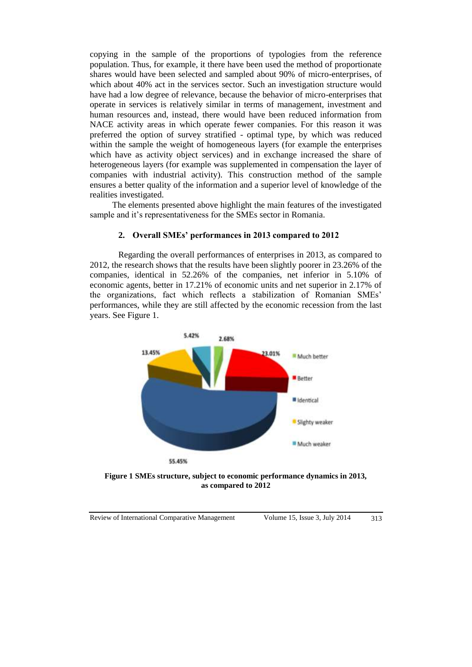copying in the sample of the proportions of typologies from the reference population. Thus, for example, it there have been used the method of proportionate shares would have been selected and sampled about 90% of micro-enterprises, of which about 40% act in the services sector. Such an investigation structure would have had a low degree of relevance, because the behavior of micro-enterprises that operate in services is relatively similar in terms of management, investment and human resources and, instead, there would have been reduced information from NACE activity areas in which operate fewer companies. For this reason it was preferred the option of survey stratified - optimal type, by which was reduced within the sample the weight of homogeneous layers (for example the enterprises which have as activity object services) and in exchange increased the share of heterogeneous layers (for example was supplemented in compensation the layer of companies with industrial activity). This construction method of the sample ensures a better quality of the information and a superior level of knowledge of the realities investigated.

The elements presented above highlight the main features of the investigated sample and it's representativeness for the SMEs sector in Romania.

### **2. Overall SMEs' performances in 2013 compared to 2012**

Regarding the overall performances of enterprises in 2013, as compared to 2012, the research shows that the results have been slightly poorer in 23.26% of the companies, identical in 52.26% of the companies, net inferior in 5.10% of economic agents, better in 17.21% of economic units and net superior in 2.17% of the organizations, fact which reflects a stabilization of Romanian SMEs' performances, while they are still affected by the economic recession from the last years. See Figure 1.



**Figure 1 SMEs structure, subject to economic performance dynamics in 2013, as compared to 2012**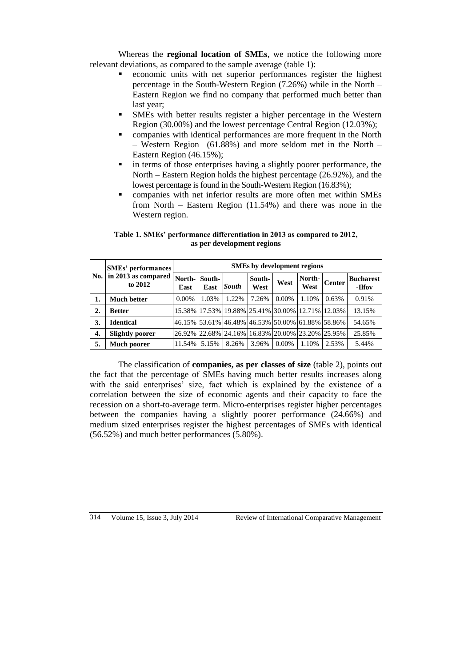Whereas the **regional location of SMEs**, we notice the following more relevant deviations, as compared to the sample average (table 1):

- economic units with net superior performances register the highest percentage in the South-Western Region (7.26%) while in the North – Eastern Region we find no company that performed much better than last year;
- SMEs with better results register a higher percentage in the Western Region (30.00%) and the lowest percentage Central Region (12.03%);
- companies with identical performances are more frequent in the North – Western Region (61.88%) and more seldom met in the North – Eastern Region (46.15%);
- in terms of those enterprises having a slightly poorer performance, the North – Eastern Region holds the highest percentage (26.92%), and the lowest percentage is found in the South-Western Region (16.83%);
- companies with net inferior results are more often met within SMEs from North – Eastern Region (11.54%) and there was none in the Western region.

| No. | <b>SMEs'</b> performances<br>in 2013 as compared<br>to 2012 | <b>SMEs by development regions</b> |                |              |                                                  |          |                |                                                  |                            |
|-----|-------------------------------------------------------------|------------------------------------|----------------|--------------|--------------------------------------------------|----------|----------------|--------------------------------------------------|----------------------------|
|     |                                                             | North-<br>East                     | South-<br>East | <b>South</b> | South-<br>West                                   | West     | North-<br>West | <b>Center</b>                                    | <b>Bucharest</b><br>-Ilfov |
| 1.  | Much better                                                 | $0.00\%$                           | 1.03%          | 1.22%        | 7.26%                                            | $0.00\%$ | 1.10%          | 0.63%                                            | 0.91%                      |
| 2.  | <b>Better</b>                                               |                                    |                |              | 15.38% 17.53% 19.88% 25.41% 30.00% 12.71% 12.03% |          |                |                                                  | 13.15%                     |
| 3.  | <b>Identical</b>                                            |                                    |                |              |                                                  |          |                | 46.15% 53.61% 46.48% 46.53% 50.00% 61.88% 58.86% | 54.65%                     |
| 4.  | <b>Slightly poorer</b>                                      |                                    |                |              | 26.92% 22.68% 24.16% 16.83% 20.00% 23.20% 25.95% |          |                |                                                  | 25.85%                     |
| 5.  | Much poorer                                                 | 11.54%                             | 5.15%          | 8.26%        | 3.96%                                            | $0.00\%$ | 1.10%          | 2.53%                                            | 5.44%                      |

## **Table 1. SMEs' performance differentiation in 2013 as compared to 2012, as per development regions**

The classification of **companies, as per classes of size** (table 2), points out the fact that the percentage of SMEs having much better results increases along with the said enterprises' size, fact which is explained by the existence of a correlation between the size of economic agents and their capacity to face the recession on a short-to-average term. Micro-enterprises register higher percentages between the companies having a slightly poorer performance (24.66%) and medium sized enterprises register the highest percentages of SMEs with identical (56.52%) and much better performances (5.80%).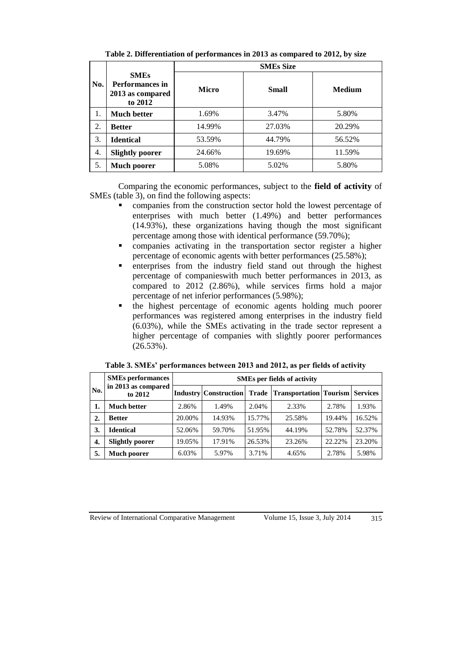|     |                                                                      | <b>SMEs Size</b> |        |        |  |  |  |
|-----|----------------------------------------------------------------------|------------------|--------|--------|--|--|--|
| No. | <b>SMEs</b><br><b>Performances in</b><br>2013 as compared<br>to 2012 | Micro            | Small  | Medium |  |  |  |
| 1.  | <b>Much better</b>                                                   | 1.69%            | 3.47%  | 5.80%  |  |  |  |
| 2.  | <b>Better</b>                                                        | 14.99%           | 27.03% | 20.29% |  |  |  |
| 3.  | <b>Identical</b>                                                     | 53.59%           | 44.79% | 56.52% |  |  |  |
| 4.  | <b>Slightly poorer</b>                                               | 24.66%           | 19.69% | 11.59% |  |  |  |
| 5.  | <b>Much poorer</b>                                                   | 5.08%            | 5.02%  | 5.80%  |  |  |  |

**Table 2. Differentiation of performances in 2013 as compared to 2012, by size**

Comparing the economic performances, subject to the **field of activity** of SMEs (table 3), on find the following aspects:

- companies from the construction sector hold the lowest percentage of enterprises with much better (1.49%) and better performances (14.93%), these organizations having though the most significant percentage among those with identical performance (59.70%);
- companies activating in the transportation sector register a higher percentage of economic agents with better performances (25.58%);
- enterprises from the industry field stand out through the highest percentage of companieswith much better performances in 2013, as compared to 2012 (2.86%), while services firms hold a major percentage of net inferior performances (5.98%);
- the highest percentage of economic agents holding much poorer performances was registered among enterprises in the industry field (6.03%), while the SMEs activating in the trade sector represent a higher percentage of companies with slightly poorer performances  $(26.53\%)$ .

|                  | <b>SMEs</b> performances<br>in 2013 as compared<br>to 2012 | <b>SMEs per fields of activity</b> |                              |        |                                                    |        |        |  |
|------------------|------------------------------------------------------------|------------------------------------|------------------------------|--------|----------------------------------------------------|--------|--------|--|
| No.              |                                                            |                                    | <b>Industry Construction</b> |        | <b>Trade   Transportation   Tourism   Services</b> |        |        |  |
| 1.               | <b>Much better</b>                                         | 2.86%                              | 1.49%                        | 2.04%  | 2.33%                                              | 2.78%  | 1.93%  |  |
| $\overline{2}$ . | <b>Better</b>                                              | 20.00%                             | 14.93%                       | 15.77% | 25.58%                                             | 19.44% | 16.52% |  |
| 3.               | <b>Identical</b>                                           | 52.06%                             | 59.70%                       | 51.95% | 44.19%                                             | 52.78% | 52.37% |  |
| 4.               | <b>Slightly poorer</b>                                     | 19.05%                             | 17.91%                       | 26.53% | 23.26%                                             | 22.22% | 23.20% |  |
| 5.               | Much poorer                                                | 6.03%                              | 5.97%                        | 3.71%  | 4.65%                                              | 2.78%  | 5.98%  |  |

**Table 3. SMEs' performances between 2013 and 2012, as per fields of activity**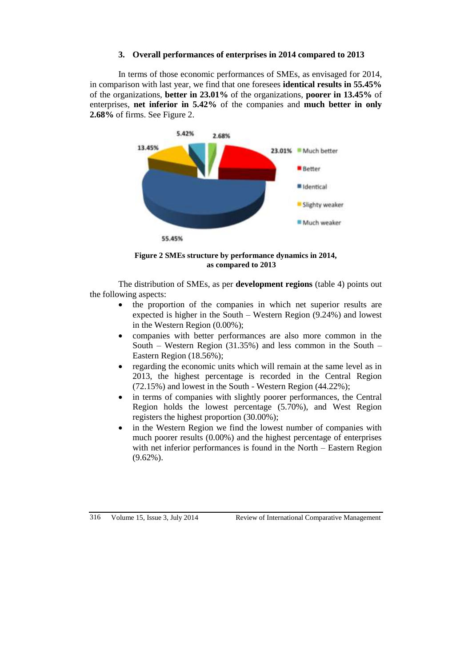# **3. Overall performances of enterprises in 2014 compared to 2013**

In terms of those economic performances of SMEs, as envisaged for 2014, in comparison with last year, we find that one foresees **identical results in 55.45%** of the organizations, **better in 23.01%** of the organizations, **poorer in 13.45%** of enterprises, **net inferior in 5.42%** of the companies and **much better in only 2.68%** of firms. See Figure 2.



**Figure 2 SMEs structure by performance dynamics in 2014, as compared to 2013**

The distribution of SMEs, as per **development regions** (table 4) points out the following aspects:

- the proportion of the companies in which net superior results are expected is higher in the South – Western Region (9.24%) and lowest in the Western Region (0.00%);
- companies with better performances are also more common in the South – Western Region (31.35%) and less common in the South – Eastern Region (18.56%);
- regarding the economic units which will remain at the same level as in 2013, the highest percentage is recorded in the Central Region (72.15%) and lowest in the South - Western Region (44.22%);
- in terms of companies with slightly poorer performances, the Central Region holds the lowest percentage (5.70%), and West Region registers the highest proportion (30.00%);
- in the Western Region we find the lowest number of companies with much poorer results (0.00%) and the highest percentage of enterprises with net inferior performances is found in the North – Eastern Region (9.62%).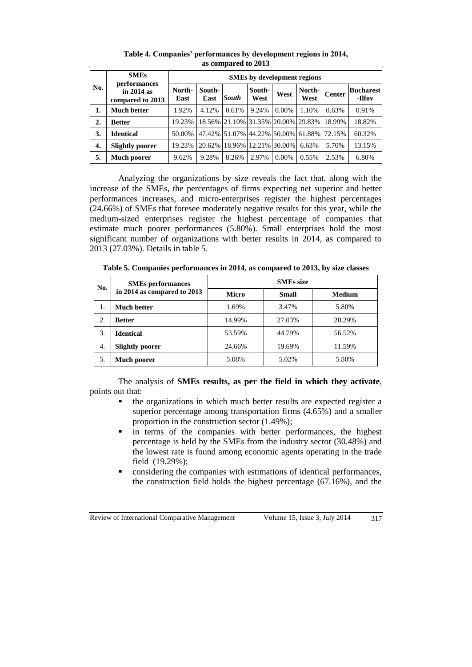| No.              | <b>SMEs</b><br>performances<br>in $2014$ as<br>compared to 2013 | <b>SMEs by development regions</b> |                |                             |                |          |                                           |               |                            |
|------------------|-----------------------------------------------------------------|------------------------------------|----------------|-----------------------------|----------------|----------|-------------------------------------------|---------------|----------------------------|
|                  |                                                                 | North-<br>East                     | South-<br>East | <b>South</b>                | South-<br>West | West     | North-<br>West                            | <b>Center</b> | <b>Bucharest</b><br>-Ilfov |
| 1.               | <b>Much better</b>                                              | 1.92%                              | 4.12%          | 0.61%                       | 9.24%          | $0.00\%$ | 1.10%                                     | 0.63%         | 0.91%                      |
| $\overline{2}$ . | <b>Better</b>                                                   | 19.23%                             |                |                             |                |          | 18.56% 21.10% 31.35% 20.00% 29.83%        | 18.99%        | 18.82%                     |
| 3.               | <b>Identical</b>                                                | 50.00%                             |                |                             |                |          | 47.42% 51.07% 44.22% 50.00% 61.88% 72.15% |               | 60.32%                     |
| 4.               | <b>Slightly poorer</b>                                          | 19.23%                             |                | 20.62% 18.96% 12.21% 30.00% |                |          | 6.63%                                     | 5.70%         | 13.15%                     |
| 5.               | Much poorer                                                     | 9.62%                              | 9.28%          | 8.26%                       | 2.97%          | $0.00\%$ | 0.55%                                     | 2.53%         | 6.80%                      |

**Table 4. Companies' performances by development regions in 2014, as compared to 2013**

Analyzing the organizations by size reveals the fact that, along with the increase of the SMEs, the percentages of firms expecting net superior and better performances increases, and micro-enterprises register the highest percentages (24.66%) of SMEs that foresee moderately negative results for this year, while the medium-sized enterprises register the highest percentage of companies that estimate much poorer performances (5.80%). Small enterprises hold the most significant number of organizations with better results in 2014, as compared to 2013 (27.03%). Details in table 5.

| No. | <b>SMEs</b> performances    | <b>SMEs size</b> |              |               |  |  |  |
|-----|-----------------------------|------------------|--------------|---------------|--|--|--|
|     | in 2014 as compared to 2013 | <b>Micro</b>     | <b>Small</b> | <b>Medium</b> |  |  |  |
| 1.  | <b>Much better</b>          | 1.69%            | 3.47%        | 5.80%         |  |  |  |
| 2.  | <b>Better</b>               | 14.99%           | 27.03%       | 20.29%        |  |  |  |
| 3.  | <b>Identical</b>            | 53.59%           | 44.79%       | 56.52%        |  |  |  |
| 4.  | <b>Slightly poorer</b>      | 24.66%           | 19.69%       | 11.59%        |  |  |  |
| 5.  | Much poorer                 | 5.08%            | 5.02%        | 5.80%         |  |  |  |

**Table 5. Companies performances in 2014, as compared to 2013, by size classes**

The analysis of **SMEs results, as per the field in which they activate**, points out that:

- the organizations in which much better results are expected register a superior percentage among transportation firms (4.65%) and a smaller proportion in the construction sector (1.49%);
- in terms of the companies with better performances, the highest percentage is held by the SMEs from the industry sector (30.48%) and the lowest rate is found among economic agents operating in the trade field (19.29%);
- considering the companies with estimations of identical performances, the construction field holds the highest percentage (67.16%), and the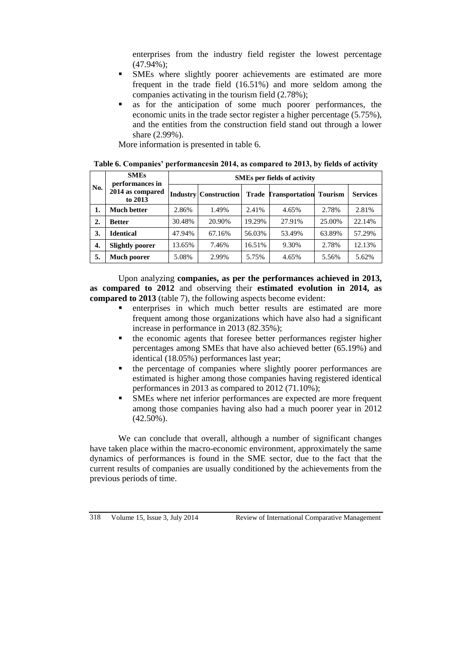enterprises from the industry field register the lowest percentage (47.94%);

- SMEs where slightly poorer achievements are estimated are more frequent in the trade field (16.51%) and more seldom among the companies activating in the tourism field (2.78%);
- as for the anticipation of some much poorer performances, the economic units in the trade sector register a higher percentage (5.75%), and the entities from the construction field stand out through a lower share (2.99%).

More information is presented in table 6.

| No.              | <b>SMEs</b><br>performances in<br>2014 as compared<br>to 2013 | <b>SMEs per fields of activity</b> |                              |        |                                     |        |                 |  |
|------------------|---------------------------------------------------------------|------------------------------------|------------------------------|--------|-------------------------------------|--------|-----------------|--|
|                  |                                                               |                                    | <b>Industry Construction</b> |        | <b>Trade Fransportation Tourism</b> |        | <b>Services</b> |  |
| 1.               | <b>Much better</b>                                            | 2.86%                              | 1.49%                        | 2.41%  | 4.65%                               | 2.78%  | 2.81%           |  |
| $\overline{2}$ . | <b>Better</b>                                                 | 30.48%                             | 20.90%                       | 19.29% | 27.91%                              | 25.00% | 22.14%          |  |
| 3.               | <b>Identical</b>                                              | 47.94%                             | 67.16%                       | 56.03% | 53.49%                              | 63.89% | 57.29%          |  |
| 4.               | <b>Slightly poorer</b>                                        | 13.65%                             | 7.46%                        | 16.51% | 9.30%                               | 2.78%  | 12.13%          |  |
| 5.               | Much poorer                                                   | 5.08%                              | 2.99%                        | 5.75%  | 4.65%                               | 5.56%  | 5.62%           |  |

**Table 6. Companies' performancesin 2014, as compared to 2013, by fields of activity**

Upon analyzing **companies, as per the performances achieved in 2013, as compared to 2012** and observing their **estimated evolution in 2014, as compared to 2013** (table 7), the following aspects become evident:

- enterprises in which much better results are estimated are more frequent among those organizations which have also had a significant increase in performance in 2013 (82.35%);
- the economic agents that foresee better performances register higher percentages among SMEs that have also achieved better (65.19%) and identical (18.05%) performances last year;
- the percentage of companies where slightly poorer performances are estimated is higher among those companies having registered identical performances in 2013 as compared to 2012 (71.10%);
- SMEs where net inferior performances are expected are more frequent among those companies having also had a much poorer year in 2012  $(42.50\%)$ .

We can conclude that overall, although a number of significant changes have taken place within the macro-economic environment, approximately the same dynamics of performances is found in the SME sector, due to the fact that the current results of companies are usually conditioned by the achievements from the previous periods of time.